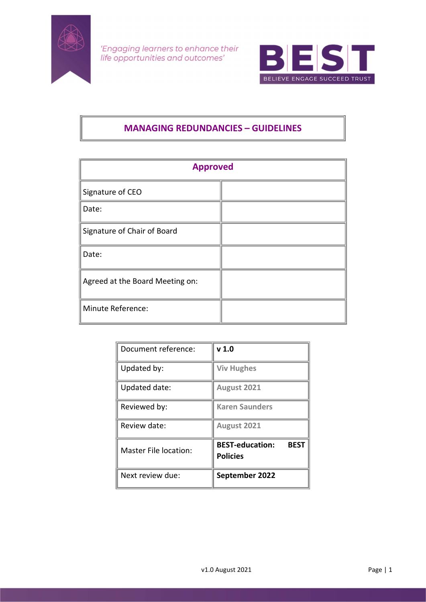

'Engaging learners to enhance their life opportunities and outcomes'



# MANAGING REDUNDANCIES – GUIDELINES

| <b>Approved</b>                 |  |  |
|---------------------------------|--|--|
| Signature of CEO                |  |  |
| Date:                           |  |  |
| Signature of Chair of Board     |  |  |
| Date:                           |  |  |
| Agreed at the Board Meeting on: |  |  |
| Minute Reference:               |  |  |

| Document reference:   | v <sub>1.0</sub>                                         |
|-----------------------|----------------------------------------------------------|
| Updated by:           | <b>Viv Hughes</b>                                        |
| Updated date:         | August 2021                                              |
| Reviewed by:          | <b>Karen Saunders</b>                                    |
| Review date:          | August 2021                                              |
| Master File location: | <b>BEST-education:</b><br><b>BEST</b><br><b>Policies</b> |
| Next review due:      | September 2022                                           |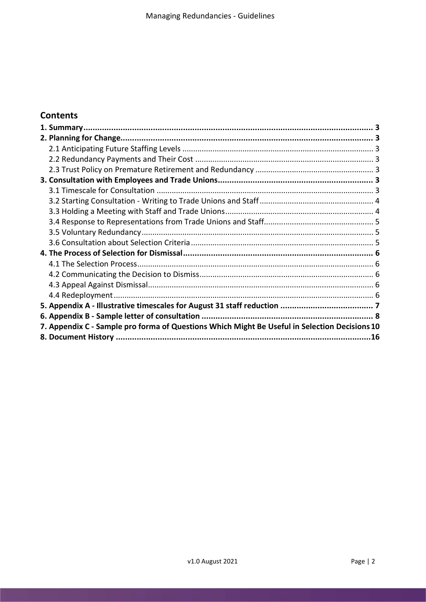# **Contents**

| 7. Appendix C - Sample pro forma of Questions Which Might Be Useful in Selection Decisions 10 |  |
|-----------------------------------------------------------------------------------------------|--|
|                                                                                               |  |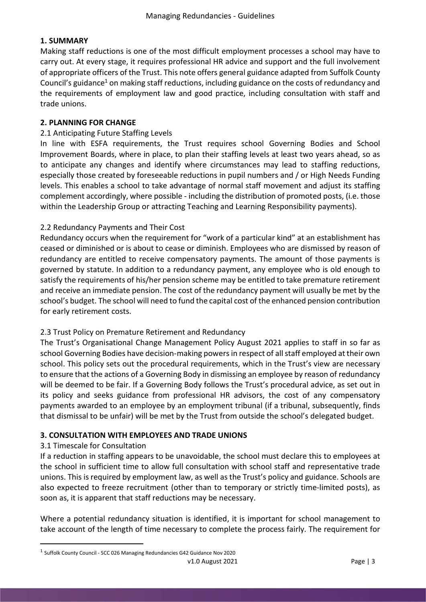## 1. SUMMARY

Making staff reductions is one of the most difficult employment processes a school may have to carry out. At every stage, it requires professional HR advice and support and the full involvement of appropriate officers of the Trust. This note offers general guidance adapted from Suffolk County Council's guidance<sup>1</sup> on making staff reductions, including guidance on the costs of redundancy and the requirements of employment law and good practice, including consultation with staff and trade unions.

## 2. PLANNING FOR CHANGE

## 2.1 Anticipating Future Staffing Levels

In line with ESFA requirements, the Trust requires school Governing Bodies and School Improvement Boards, where in place, to plan their staffing levels at least two years ahead, so as to anticipate any changes and identify where circumstances may lead to staffing reductions, especially those created by foreseeable reductions in pupil numbers and / or High Needs Funding levels. This enables a school to take advantage of normal staff movement and adjust its staffing complement accordingly, where possible - including the distribution of promoted posts, (i.e. those within the Leadership Group or attracting Teaching and Learning Responsibility payments).

## 2.2 Redundancy Payments and Their Cost

Redundancy occurs when the requirement for "work of a particular kind" at an establishment has ceased or diminished or is about to cease or diminish. Employees who are dismissed by reason of redundancy are entitled to receive compensatory payments. The amount of those payments is governed by statute. In addition to a redundancy payment, any employee who is old enough to satisfy the requirements of his/her pension scheme may be entitled to take premature retirement and receive an immediate pension. The cost of the redundancy payment will usually be met by the school's budget. The school will need to fund the capital cost of the enhanced pension contribution for early retirement costs.

#### 2.3 Trust Policy on Premature Retirement and Redundancy

The Trust's Organisational Change Management Policy August 2021 applies to staff in so far as school Governing Bodies have decision-making powers in respect of all staff employed at their own school. This policy sets out the procedural requirements, which in the Trust's view are necessary to ensure that the actions of a Governing Body in dismissing an employee by reason of redundancy will be deemed to be fair. If a Governing Body follows the Trust's procedural advice, as set out in its policy and seeks guidance from professional HR advisors, the cost of any compensatory payments awarded to an employee by an employment tribunal (if a tribunal, subsequently, finds that dismissal to be unfair) will be met by the Trust from outside the school's delegated budget.

#### 3. CONSULTATION WITH EMPLOYEES AND TRADE UNIONS

#### 3.1 Timescale for Consultation

If a reduction in staffing appears to be unavoidable, the school must declare this to employees at the school in sufficient time to allow full consultation with school staff and representative trade unions. This is required by employment law, as well as the Trust's policy and guidance. Schools are also expected to freeze recruitment (other than to temporary or strictly time-limited posts), as soon as, it is apparent that staff reductions may be necessary.

Where a potential redundancy situation is identified, it is important for school management to take account of the length of time necessary to complete the process fairly. The requirement for

v1.0 August 2021 **Page | 3** <sup>1</sup> Suffolk County Council - SCC 026 Managing Redundancies G42 Guidance Nov 2020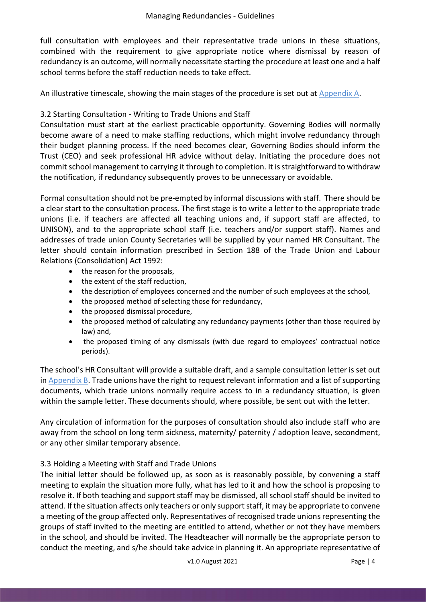full consultation with employees and their representative trade unions in these situations, combined with the requirement to give appropriate notice where dismissal by reason of redundancy is an outcome, will normally necessitate starting the procedure at least one and a half school terms before the staff reduction needs to take effect.

An illustrative timescale, showing the main stages of the procedure is set out at Appendix A.

## 3.2 Starting Consultation - Writing to Trade Unions and Staff

Consultation must start at the earliest practicable opportunity. Governing Bodies will normally become aware of a need to make staffing reductions, which might involve redundancy through their budget planning process. If the need becomes clear, Governing Bodies should inform the Trust (CEO) and seek professional HR advice without delay. Initiating the procedure does not commit school management to carrying it through to completion. It is straightforward to withdraw the notification, if redundancy subsequently proves to be unnecessary or avoidable.

Formal consultation should not be pre-empted by informal discussions with staff. There should be a clear start to the consultation process. The first stage is to write a letter to the appropriate trade unions (i.e. if teachers are affected all teaching unions and, if support staff are affected, to UNISON), and to the appropriate school staff (i.e. teachers and/or support staff). Names and addresses of trade union County Secretaries will be supplied by your named HR Consultant. The letter should contain information prescribed in Section 188 of the Trade Union and Labour Relations (Consolidation) Act 1992:

- the reason for the proposals,
- the extent of the staff reduction,
- the description of employees concerned and the number of such employees at the school,
- the proposed method of selecting those for redundancy,
- the proposed dismissal procedure,
- the proposed method of calculating any redundancy payments (other than those required by law) and,
- the proposed timing of any dismissals (with due regard to employees' contractual notice periods).

The school's HR Consultant will provide a suitable draft, and a sample consultation letter is set out in Appendix B. Trade unions have the right to request relevant information and a list of supporting documents, which trade unions normally require access to in a redundancy situation, is given within the sample letter. These documents should, where possible, be sent out with the letter.

Any circulation of information for the purposes of consultation should also include staff who are away from the school on long term sickness, maternity/ paternity / adoption leave, secondment, or any other similar temporary absence.

## 3.3 Holding a Meeting with Staff and Trade Unions

The initial letter should be followed up, as soon as is reasonably possible, by convening a staff meeting to explain the situation more fully, what has led to it and how the school is proposing to resolve it. If both teaching and support staff may be dismissed, all school staff should be invited to attend. If the situation affects only teachers or only support staff, it may be appropriate to convene a meeting of the group affected only. Representatives of recognised trade unions representing the groups of staff invited to the meeting are entitled to attend, whether or not they have members in the school, and should be invited. The Headteacher will normally be the appropriate person to conduct the meeting, and s/he should take advice in planning it. An appropriate representative of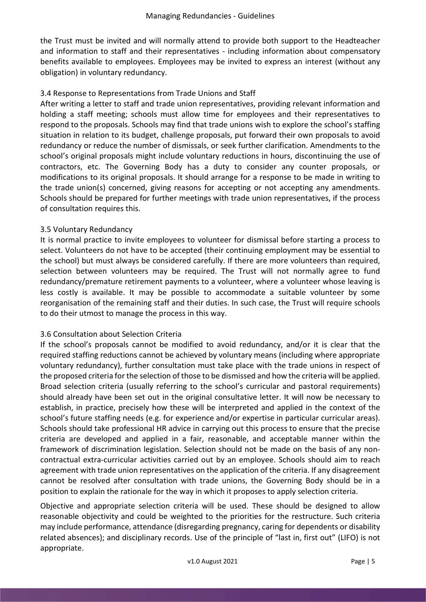the Trust must be invited and will normally attend to provide both support to the Headteacher and information to staff and their representatives - including information about compensatory benefits available to employees. Employees may be invited to express an interest (without any obligation) in voluntary redundancy.

## 3.4 Response to Representations from Trade Unions and Staff

After writing a letter to staff and trade union representatives, providing relevant information and holding a staff meeting; schools must allow time for employees and their representatives to respond to the proposals. Schools may find that trade unions wish to explore the school's staffing situation in relation to its budget, challenge proposals, put forward their own proposals to avoid redundancy or reduce the number of dismissals, or seek further clarification. Amendments to the school's original proposals might include voluntary reductions in hours, discontinuing the use of contractors, etc. The Governing Body has a duty to consider any counter proposals, or modifications to its original proposals. It should arrange for a response to be made in writing to the trade union(s) concerned, giving reasons for accepting or not accepting any amendments. Schools should be prepared for further meetings with trade union representatives, if the process of consultation requires this.

#### 3.5 Voluntary Redundancy

It is normal practice to invite employees to volunteer for dismissal before starting a process to select. Volunteers do not have to be accepted (their continuing employment may be essential to the school) but must always be considered carefully. If there are more volunteers than required, selection between volunteers may be required. The Trust will not normally agree to fund redundancy/premature retirement payments to a volunteer, where a volunteer whose leaving is less costly is available. It may be possible to accommodate a suitable volunteer by some reorganisation of the remaining staff and their duties. In such case, the Trust will require schools to do their utmost to manage the process in this way.

#### 3.6 Consultation about Selection Criteria

If the school's proposals cannot be modified to avoid redundancy, and/or it is clear that the required staffing reductions cannot be achieved by voluntary means (including where appropriate voluntary redundancy), further consultation must take place with the trade unions in respect of the proposed criteria for the selection of those to be dismissed and how the criteria will be applied. Broad selection criteria (usually referring to the school's curricular and pastoral requirements) should already have been set out in the original consultative letter. It will now be necessary to establish, in practice, precisely how these will be interpreted and applied in the context of the school's future staffing needs (e.g. for experience and/or expertise in particular curricular areas). Schools should take professional HR advice in carrying out this process to ensure that the precise criteria are developed and applied in a fair, reasonable, and acceptable manner within the framework of discrimination legislation. Selection should not be made on the basis of any noncontractual extra-curricular activities carried out by an employee. Schools should aim to reach agreement with trade union representatives on the application of the criteria. If any disagreement cannot be resolved after consultation with trade unions, the Governing Body should be in a position to explain the rationale for the way in which it proposes to apply selection criteria.

Objective and appropriate selection criteria will be used. These should be designed to allow reasonable objectivity and could be weighted to the priorities for the restructure. Such criteria may include performance, attendance (disregarding pregnancy, caring for dependents or disability related absences); and disciplinary records. Use of the principle of "last in, first out" (LIFO) is not appropriate.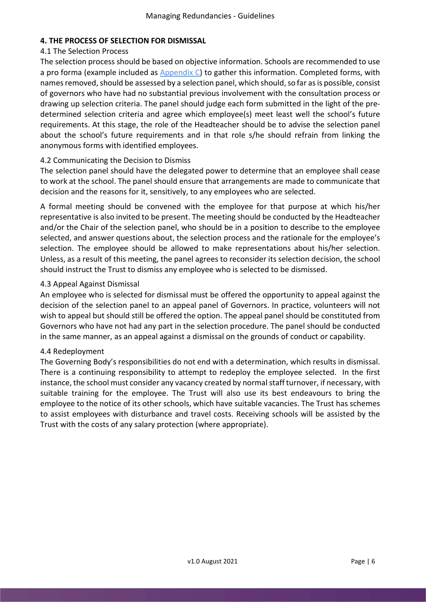## 4. THE PROCESS OF SELECTION FOR DISMISSAL

## 4.1 The Selection Process

The selection process should be based on objective information. Schools are recommended to use a pro forma (example included as Appendix C) to gather this information. Completed forms, with names removed, should be assessed by a selection panel, which should, so far as is possible, consist of governors who have had no substantial previous involvement with the consultation process or drawing up selection criteria. The panel should judge each form submitted in the light of the predetermined selection criteria and agree which employee(s) meet least well the school's future requirements. At this stage, the role of the Headteacher should be to advise the selection panel about the school's future requirements and in that role s/he should refrain from linking the anonymous forms with identified employees.

## 4.2 Communicating the Decision to Dismiss

The selection panel should have the delegated power to determine that an employee shall cease to work at the school. The panel should ensure that arrangements are made to communicate that decision and the reasons for it, sensitively, to any employees who are selected.

A formal meeting should be convened with the employee for that purpose at which his/her representative is also invited to be present. The meeting should be conducted by the Headteacher and/or the Chair of the selection panel, who should be in a position to describe to the employee selected, and answer questions about, the selection process and the rationale for the employee's selection. The employee should be allowed to make representations about his/her selection. Unless, as a result of this meeting, the panel agrees to reconsider its selection decision, the school should instruct the Trust to dismiss any employee who is selected to be dismissed.

## 4.3 Appeal Against Dismissal

An employee who is selected for dismissal must be offered the opportunity to appeal against the decision of the selection panel to an appeal panel of Governors. In practice, volunteers will not wish to appeal but should still be offered the option. The appeal panel should be constituted from Governors who have not had any part in the selection procedure. The panel should be conducted in the same manner, as an appeal against a dismissal on the grounds of conduct or capability.

#### 4.4 Redeployment

The Governing Body's responsibilities do not end with a determination, which results in dismissal. There is a continuing responsibility to attempt to redeploy the employee selected. In the first instance, the school must consider any vacancy created by normal staff turnover, if necessary, with suitable training for the employee. The Trust will also use its best endeavours to bring the employee to the notice of its other schools, which have suitable vacancies. The Trust has schemes to assist employees with disturbance and travel costs. Receiving schools will be assisted by the Trust with the costs of any salary protection (where appropriate).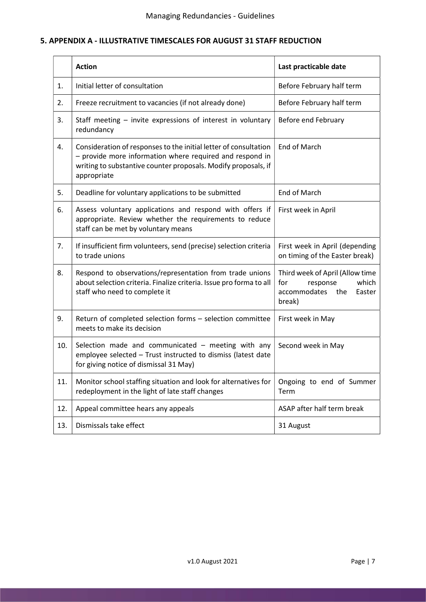## 5. APPENDIX A - ILLUSTRATIVE TIMESCALES FOR AUGUST 31 STAFF REDUCTION

|                | <b>Action</b>                                                                                                                                                                                                 | Last practicable date                                                                               |  |
|----------------|---------------------------------------------------------------------------------------------------------------------------------------------------------------------------------------------------------------|-----------------------------------------------------------------------------------------------------|--|
| $\mathbf{1}$ . | Initial letter of consultation                                                                                                                                                                                | Before February half term                                                                           |  |
| 2.             | Freeze recruitment to vacancies (if not already done)                                                                                                                                                         | Before February half term                                                                           |  |
| 3.             | Staff meeting - invite expressions of interest in voluntary<br>redundancy                                                                                                                                     | Before end February                                                                                 |  |
| 4.             | Consideration of responses to the initial letter of consultation<br>- provide more information where required and respond in<br>writing to substantive counter proposals. Modify proposals, if<br>appropriate | End of March                                                                                        |  |
| 5.             | Deadline for voluntary applications to be submitted                                                                                                                                                           | End of March                                                                                        |  |
| 6.             | Assess voluntary applications and respond with offers if<br>appropriate. Review whether the requirements to reduce<br>staff can be met by voluntary means                                                     | First week in April                                                                                 |  |
| 7.             | If insufficient firm volunteers, send (precise) selection criteria<br>to trade unions                                                                                                                         | First week in April (depending<br>on timing of the Easter break)                                    |  |
| 8.             | Respond to observations/representation from trade unions<br>about selection criteria. Finalize criteria. Issue pro forma to all<br>staff who need to complete it                                              | Third week of April (Allow time<br>which<br>for<br>response<br>accommodates the<br>Easter<br>break) |  |
| 9.             | Return of completed selection forms - selection committee<br>meets to make its decision                                                                                                                       | First week in May                                                                                   |  |
| 10.            | Selection made and communicated - meeting with any<br>employee selected - Trust instructed to dismiss (latest date<br>for giving notice of dismissal 31 May)                                                  | Second week in May                                                                                  |  |
| 11.            | Monitor school staffing situation and look for alternatives for<br>redeployment in the light of late staff changes                                                                                            | Ongoing to end of Summer<br>Term                                                                    |  |
| 12.            | Appeal committee hears any appeals                                                                                                                                                                            | ASAP after half term break                                                                          |  |
| 13.            | Dismissals take effect                                                                                                                                                                                        | 31 August                                                                                           |  |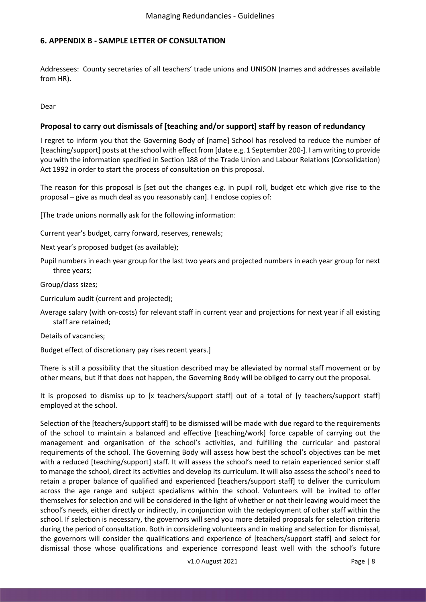#### 6. APPENDIX B - SAMPLE LETTER OF CONSULTATION

Addressees: County secretaries of all teachers' trade unions and UNISON (names and addresses available from HR).

Dear

#### Proposal to carry out dismissals of [teaching and/or support] staff by reason of redundancy

I regret to inform you that the Governing Body of [name] School has resolved to reduce the number of [teaching/support] posts at the school with effect from [date e.g. 1 September 200-]. I am writing to provide you with the information specified in Section 188 of the Trade Union and Labour Relations (Consolidation) Act 1992 in order to start the process of consultation on this proposal.

The reason for this proposal is [set out the changes e.g. in pupil roll, budget etc which give rise to the proposal – give as much deal as you reasonably can]. I enclose copies of:

[The trade unions normally ask for the following information:

Current year's budget, carry forward, reserves, renewals;

- Next year's proposed budget (as available);
- Pupil numbers in each year group for the last two years and projected numbers in each year group for next three years;

Group/class sizes;

- Curriculum audit (current and projected);
- Average salary (with on-costs) for relevant staff in current year and projections for next year if all existing staff are retained;

Details of vacancies;

Budget effect of discretionary pay rises recent years.]

There is still a possibility that the situation described may be alleviated by normal staff movement or by other means, but if that does not happen, the Governing Body will be obliged to carry out the proposal.

It is proposed to dismiss up to [x teachers/support staff] out of a total of [y teachers/support staff] employed at the school.

Selection of the [teachers/support staff] to be dismissed will be made with due regard to the requirements of the school to maintain a balanced and effective [teaching/work] force capable of carrying out the management and organisation of the school's activities, and fulfilling the curricular and pastoral requirements of the school. The Governing Body will assess how best the school's objectives can be met with a reduced [teaching/support] staff. It will assess the school's need to retain experienced senior staff to manage the school, direct its activities and develop its curriculum. It will also assess the school's need to retain a proper balance of qualified and experienced [teachers/support staff] to deliver the curriculum across the age range and subject specialisms within the school. Volunteers will be invited to offer themselves for selection and will be considered in the light of whether or not their leaving would meet the school's needs, either directly or indirectly, in conjunction with the redeployment of other staff within the school. If selection is necessary, the governors will send you more detailed proposals for selection criteria during the period of consultation. Both in considering volunteers and in making and selection for dismissal, the governors will consider the qualifications and experience of [teachers/support staff] and select for dismissal those whose qualifications and experience correspond least well with the school's future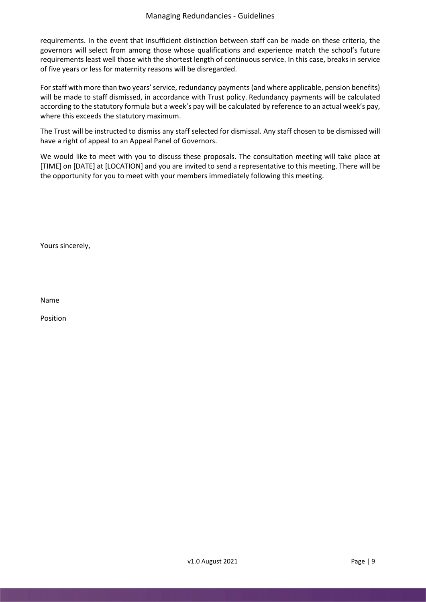requirements. In the event that insufficient distinction between staff can be made on these criteria, the governors will select from among those whose qualifications and experience match the school's future requirements least well those with the shortest length of continuous service. In this case, breaks in service of five years or less for maternity reasons will be disregarded.

For staff with more than two years' service, redundancy payments (and where applicable, pension benefits) will be made to staff dismissed, in accordance with Trust policy. Redundancy payments will be calculated according to the statutory formula but a week's pay will be calculated by reference to an actual week's pay, where this exceeds the statutory maximum.

The Trust will be instructed to dismiss any staff selected for dismissal. Any staff chosen to be dismissed will have a right of appeal to an Appeal Panel of Governors.

We would like to meet with you to discuss these proposals. The consultation meeting will take place at [TIME] on [DATE] at [LOCATION] and you are invited to send a representative to this meeting. There will be the opportunity for you to meet with your members immediately following this meeting.

Yours sincerely,

Name

Position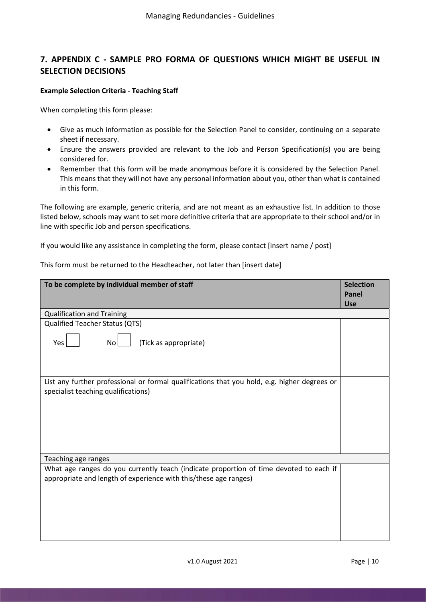## 7. APPENDIX C - SAMPLE PRO FORMA OF QUESTIONS WHICH MIGHT BE USEFUL IN SELECTION DECISIONS

#### Example Selection Criteria - Teaching Staff

When completing this form please:

- Give as much information as possible for the Selection Panel to consider, continuing on a separate sheet if necessary.
- Ensure the answers provided are relevant to the Job and Person Specification(s) you are being considered for.
- Remember that this form will be made anonymous before it is considered by the Selection Panel. This means that they will not have any personal information about you, other than what is contained in this form.

The following are example, generic criteria, and are not meant as an exhaustive list. In addition to those listed below, schools may want to set more definitive criteria that are appropriate to their school and/or in line with specific Job and person specifications.

If you would like any assistance in completing the form, please contact [insert name / post]

| To be complete by individual member of staff                                                                                                               |            |  |
|------------------------------------------------------------------------------------------------------------------------------------------------------------|------------|--|
|                                                                                                                                                            | <b>Use</b> |  |
| <b>Qualification and Training</b>                                                                                                                          |            |  |
| Qualified Teacher Status (QTS)                                                                                                                             |            |  |
| (Tick as appropriate)<br>Yes<br>N <sub>o</sub>                                                                                                             |            |  |
| List any further professional or formal qualifications that you hold, e.g. higher degrees or<br>specialist teaching qualifications)                        |            |  |
| Teaching age ranges                                                                                                                                        |            |  |
| What age ranges do you currently teach (indicate proportion of time devoted to each if<br>appropriate and length of experience with this/these age ranges) |            |  |

This form must be returned to the Headteacher, not later than [insert date]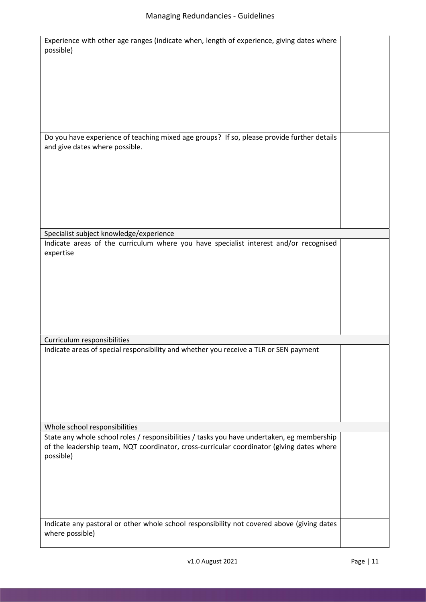| Experience with other age ranges (indicate when, length of experience, giving dates where<br>possible)                       |  |
|------------------------------------------------------------------------------------------------------------------------------|--|
|                                                                                                                              |  |
|                                                                                                                              |  |
|                                                                                                                              |  |
|                                                                                                                              |  |
| Do you have experience of teaching mixed age groups? If so, please provide further details<br>and give dates where possible. |  |
|                                                                                                                              |  |
|                                                                                                                              |  |
|                                                                                                                              |  |
|                                                                                                                              |  |
| Specialist subject knowledge/experience                                                                                      |  |
| Indicate areas of the curriculum where you have specialist interest and/or recognised<br>expertise                           |  |
|                                                                                                                              |  |
|                                                                                                                              |  |
|                                                                                                                              |  |
|                                                                                                                              |  |
| Curriculum responsibilities                                                                                                  |  |
| Indicate areas of special responsibility and whether you receive a TLR or SEN payment                                        |  |
|                                                                                                                              |  |
|                                                                                                                              |  |
|                                                                                                                              |  |
|                                                                                                                              |  |
| Whole school responsibilities                                                                                                |  |
| State any whole school roles / responsibilities / tasks you have undertaken, eg membership                                   |  |
| of the leadership team, NQT coordinator, cross-curricular coordinator (giving dates where<br>possible)                       |  |
|                                                                                                                              |  |
|                                                                                                                              |  |
|                                                                                                                              |  |
| Indicate any pastoral or other whole school responsibility not covered above (giving dates<br>where possible)                |  |
|                                                                                                                              |  |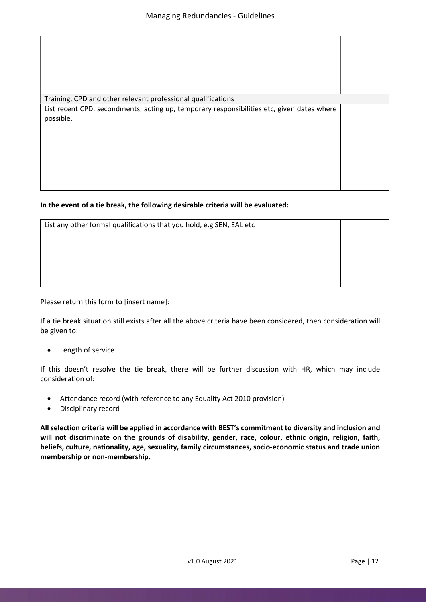| Training, CPD and other relevant professional qualifications                                            |  |
|---------------------------------------------------------------------------------------------------------|--|
| List recent CPD, secondments, acting up, temporary responsibilities etc, given dates where<br>possible. |  |

#### In the event of a tie break, the following desirable criteria will be evaluated:

| List any other formal qualifications that you hold, e.g SEN, EAL etc |  |  |
|----------------------------------------------------------------------|--|--|
|                                                                      |  |  |
|                                                                      |  |  |
|                                                                      |  |  |
|                                                                      |  |  |

Please return this form to [insert name]:

If a tie break situation still exists after all the above criteria have been considered, then consideration will be given to:

Length of service

If this doesn't resolve the tie break, there will be further discussion with HR, which may include consideration of:

- Attendance record (with reference to any Equality Act 2010 provision)
- Disciplinary record

All selection criteria will be applied in accordance with BEST's commitment to diversity and inclusion and will not discriminate on the grounds of disability, gender, race, colour, ethnic origin, religion, faith, beliefs, culture, nationality, age, sexuality, family circumstances, socio-economic status and trade union membership or non-membership.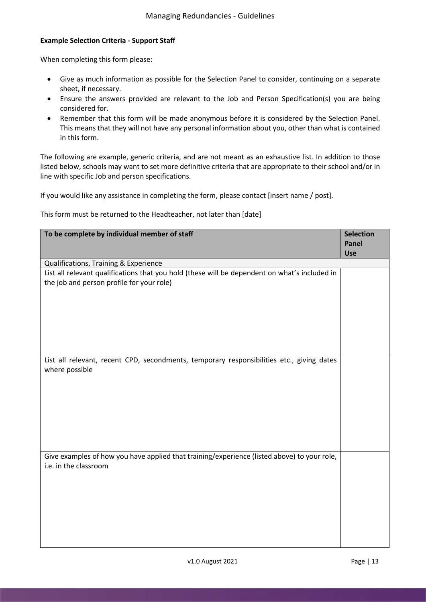#### Example Selection Criteria - Support Staff

When completing this form please:

- Give as much information as possible for the Selection Panel to consider, continuing on a separate sheet, if necessary.
- Ensure the answers provided are relevant to the Job and Person Specification(s) you are being considered for.
- Remember that this form will be made anonymous before it is considered by the Selection Panel. This means that they will not have any personal information about you, other than what is contained in this form.

The following are example, generic criteria, and are not meant as an exhaustive list. In addition to those listed below, schools may want to set more definitive criteria that are appropriate to their school and/or in line with specific Job and person specifications.

If you would like any assistance in completing the form, please contact [insert name / post].

This form must be returned to the Headteacher, not later than [date]

| To be complete by individual member of staff                                                                |                            |  |
|-------------------------------------------------------------------------------------------------------------|----------------------------|--|
|                                                                                                             | <b>Panel</b><br><b>Use</b> |  |
| Qualifications, Training & Experience                                                                       |                            |  |
| List all relevant qualifications that you hold (these will be dependent on what's included in               |                            |  |
| the job and person profile for your role)                                                                   |                            |  |
|                                                                                                             |                            |  |
|                                                                                                             |                            |  |
|                                                                                                             |                            |  |
|                                                                                                             |                            |  |
|                                                                                                             |                            |  |
|                                                                                                             |                            |  |
| List all relevant, recent CPD, secondments, temporary responsibilities etc., giving dates<br>where possible |                            |  |
|                                                                                                             |                            |  |
|                                                                                                             |                            |  |
|                                                                                                             |                            |  |
|                                                                                                             |                            |  |
|                                                                                                             |                            |  |
|                                                                                                             |                            |  |
|                                                                                                             |                            |  |
| Give examples of how you have applied that training/experience (listed above) to your role,                 |                            |  |
| i.e. in the classroom                                                                                       |                            |  |
|                                                                                                             |                            |  |
|                                                                                                             |                            |  |
|                                                                                                             |                            |  |
|                                                                                                             |                            |  |
|                                                                                                             |                            |  |
|                                                                                                             |                            |  |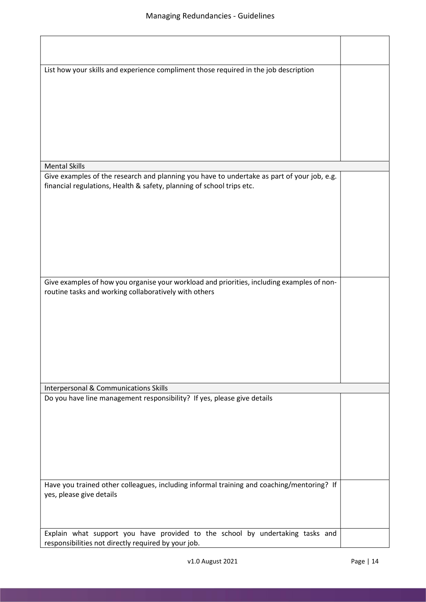| List how your skills and experience compliment those required in the job description       |  |
|--------------------------------------------------------------------------------------------|--|
|                                                                                            |  |
|                                                                                            |  |
|                                                                                            |  |
|                                                                                            |  |
|                                                                                            |  |
|                                                                                            |  |
| <b>Mental Skills</b>                                                                       |  |
| Give examples of the research and planning you have to undertake as part of your job, e.g. |  |
| financial regulations, Health & safety, planning of school trips etc.                      |  |
|                                                                                            |  |
|                                                                                            |  |
|                                                                                            |  |
|                                                                                            |  |
|                                                                                            |  |
|                                                                                            |  |
| Give examples of how you organise your workload and priorities, including examples of non- |  |
| routine tasks and working collaboratively with others                                      |  |
|                                                                                            |  |
|                                                                                            |  |
|                                                                                            |  |
|                                                                                            |  |
|                                                                                            |  |
|                                                                                            |  |
|                                                                                            |  |
| Interpersonal & Communications Skills                                                      |  |
| Do you have line management responsibility? If yes, please give details                    |  |
|                                                                                            |  |
|                                                                                            |  |
|                                                                                            |  |
|                                                                                            |  |
|                                                                                            |  |
| Have you trained other colleagues, including informal training and coaching/mentoring? If  |  |
| yes, please give details                                                                   |  |
|                                                                                            |  |
|                                                                                            |  |
| Explain what support you have provided to the school by undertaking tasks and              |  |
| responsibilities not directly required by your job.                                        |  |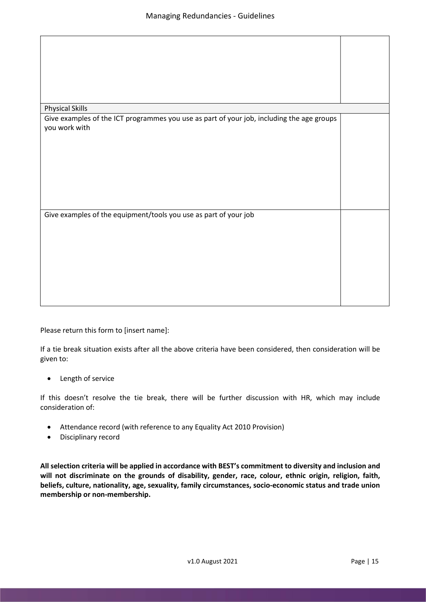| <b>Physical Skills</b>                                                                    |  |
|-------------------------------------------------------------------------------------------|--|
| Give examples of the ICT programmes you use as part of your job, including the age groups |  |
|                                                                                           |  |
| you work with                                                                             |  |
|                                                                                           |  |
|                                                                                           |  |
|                                                                                           |  |
|                                                                                           |  |
|                                                                                           |  |
|                                                                                           |  |
|                                                                                           |  |
|                                                                                           |  |
|                                                                                           |  |
|                                                                                           |  |
|                                                                                           |  |
|                                                                                           |  |
|                                                                                           |  |
|                                                                                           |  |
| Give examples of the equipment/tools you use as part of your job                          |  |
|                                                                                           |  |
|                                                                                           |  |
|                                                                                           |  |
|                                                                                           |  |
|                                                                                           |  |
|                                                                                           |  |
|                                                                                           |  |
|                                                                                           |  |
|                                                                                           |  |
|                                                                                           |  |
|                                                                                           |  |
|                                                                                           |  |
|                                                                                           |  |
|                                                                                           |  |
|                                                                                           |  |
|                                                                                           |  |

Please return this form to [insert name]:

If a tie break situation exists after all the above criteria have been considered, then consideration will be given to:

• Length of service

If this doesn't resolve the tie break, there will be further discussion with HR, which may include consideration of:

- Attendance record (with reference to any Equality Act 2010 Provision)
- Disciplinary record

All selection criteria will be applied in accordance with BEST's commitment to diversity and inclusion and will not discriminate on the grounds of disability, gender, race, colour, ethnic origin, religion, faith, beliefs, culture, nationality, age, sexuality, family circumstances, socio-economic status and trade union membership or non-membership.